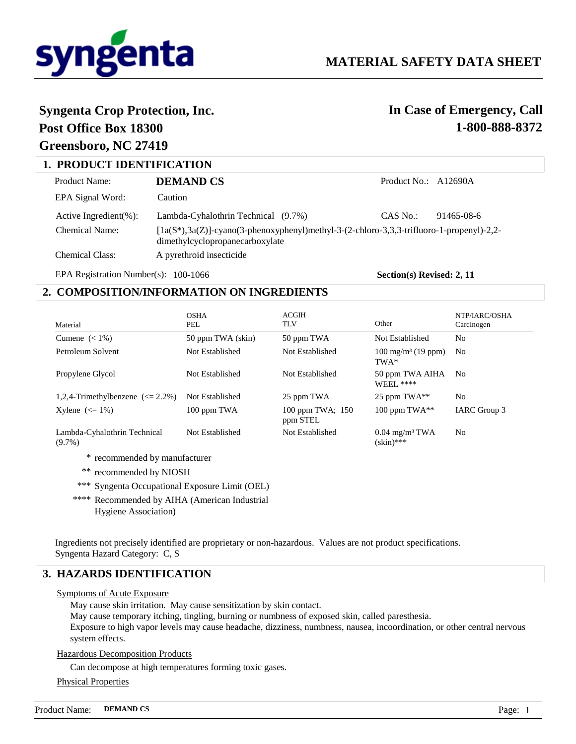

# **Syngenta Crop Protection, Inc.**

# **Post Office Box 18300 Greensboro, NC 27419**

# **In Case of Emergency, Call 1-800-888-8372**

| <b>1. PRODUCT IDENTIFICATION</b> |                                                                                                                                 |                      |            |
|----------------------------------|---------------------------------------------------------------------------------------------------------------------------------|----------------------|------------|
| Product Name:                    | DEMAND CS                                                                                                                       | Product No.: A12690A |            |
| EPA Signal Word:                 | Caution                                                                                                                         |                      |            |
| Active Ingredient(%):            | Lambda-Cyhalothrin Technical (9.7%)                                                                                             | CAS No.:             | 91465-08-6 |
| Chemical Name:                   | $[1a(S^*),3a(Z)]$ -cyano(3-phenoxyphenyl)methyl-3-(2-chloro-3,3,3-trifluoro-1-propenyl)-2,2-<br>dimethylcyclopropanecarboxylate |                      |            |
| Chemical Class:                  | A pyrethroid insecticide                                                                                                        |                      |            |

EPA Registration Number(s): 100-1066

**Section(s) Revised: 2, 11**

# **2. COMPOSITION/INFORMATION ON INGREDIENTS**

| Material                                  | <b>OSHA</b><br>PEL | <b>ACGIH</b><br><b>TLV</b>   | Other                                        | NTP/IARC/OSHA<br>Carcinogen |
|-------------------------------------------|--------------------|------------------------------|----------------------------------------------|-----------------------------|
| Cumene $(< 1\%)$                          | 50 ppm TWA (skin)  | 50 ppm TWA                   | Not Established                              | N <sub>0</sub>              |
| Petroleum Solvent                         | Not Established    | Not Established              | $100 \text{ mg/m}^3$ (19 ppm)<br>TWA*        | N <sub>0</sub>              |
| Propylene Glycol                          | Not Established    | Not Established              | 50 ppm TWA AIHA<br><b>WEEL ****</b>          | N <sub>0</sub>              |
| 1,2,4-Trimethylbenzene $\approx$ 2.2%)    | Not Established    | 25 ppm TWA                   | 25 ppm TWA**                                 | No                          |
| Xylene $\left(\leq 1\%\right)$            | 100 ppm TWA        | 100 ppm TWA; 150<br>ppm STEL | 100 ppm $TWA^{**}$                           | IARC Group 3                |
| Lambda-Cyhalothrin Technical<br>$(9.7\%)$ | Not Established    | Not Established              | $0.04$ mg/m <sup>3</sup> TWA<br>$(skin)$ *** | No                          |
| recommended by manufacturer               |                    |                              |                                              |                             |

- \*\* recommended by NIOSH
- \*\*\* Syngenta Occupational Exposure Limit (OEL)
- \*\*\*\* Recommended by AIHA (American Industrial Hygiene Association)

Ingredients not precisely identified are proprietary or non-hazardous. Values are not product specifications. Syngenta Hazard Category: C, S

# **3. HAZARDS IDENTIFICATION**

### Symptoms of Acute Exposure

May cause skin irritation. May cause sensitization by skin contact.

May cause temporary itching, tingling, burning or numbness of exposed skin, called paresthesia.

Exposure to high vapor levels may cause headache, dizziness, numbness, nausea, incoordination, or other central nervous system effects.

### Hazardous Decomposition Products

Can decompose at high temperatures forming toxic gases.

Physical Properties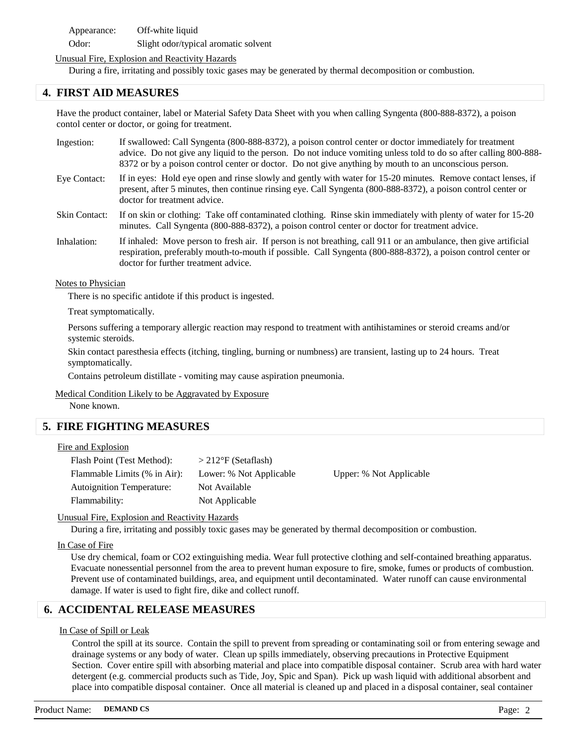Appearance: Off-white liquid Odor: Slight odor/typical aromatic solvent

## Unusual Fire, Explosion and Reactivity Hazards

During a fire, irritating and possibly toxic gases may be generated by thermal decomposition or combustion.

# **4. FIRST AID MEASURES**

Have the product container, label or Material Safety Data Sheet with you when calling Syngenta (800-888-8372), a poison contol center or doctor, or going for treatment.

- If swallowed: Call Syngenta (800-888-8372), a poison control center or doctor immediately for treatment advice. Do not give any liquid to the person. Do not induce vomiting unless told to do so after calling 800-888- 8372 or by a poison control center or doctor. Do not give anything by mouth to an unconscious person. Ingestion:
- If in eyes: Hold eye open and rinse slowly and gently with water for 15-20 minutes. Remove contact lenses, if present, after 5 minutes, then continue rinsing eye. Call Syngenta (800-888-8372), a poison control center or doctor for treatment advice. Eye Contact:
- If on skin or clothing: Take off contaminated clothing. Rinse skin immediately with plenty of water for 15-20 minutes. Call Syngenta (800-888-8372), a poison control center or doctor for treatment advice. Skin Contact:
- If inhaled: Move person to fresh air. If person is not breathing, call 911 or an ambulance, then give artificial respiration, preferably mouth-to-mouth if possible. Call Syngenta (800-888-8372), a poison control center or doctor for further treatment advice. Inhalation:

#### **Notes to Physician**

There is no specific antidote if this product is ingested.

Treat symptomatically.

Persons suffering a temporary allergic reaction may respond to treatment with antihistamines or steroid creams and/or systemic steroids.

Skin contact paresthesia effects (itching, tingling, burning or numbness) are transient, lasting up to 24 hours. Treat symptomatically.

Contains petroleum distillate - vomiting may cause aspiration pneumonia.

Medical Condition Likely to be Aggravated by Exposure

None known.

# **5. FIRE FIGHTING MEASURES**

#### Fire and Explosion

| Flash Point (Test Method):       | $>212$ °F (Setaflash)   |          |
|----------------------------------|-------------------------|----------|
| Flammable Limits (% in Air):     | Lower: % Not Applicable | Upper: % |
| <b>Autoignition Temperature:</b> | Not Available           |          |
| Flammability:                    | Not Applicable          |          |

Not Applicable

### Unusual Fire, Explosion and Reactivity Hazards

During a fire, irritating and possibly toxic gases may be generated by thermal decomposition or combustion.

### In Case of Fire

Use dry chemical, foam or CO2 extinguishing media. Wear full protective clothing and self-contained breathing apparatus. Evacuate nonessential personnel from the area to prevent human exposure to fire, smoke, fumes or products of combustion. Prevent use of contaminated buildings, area, and equipment until decontaminated. Water runoff can cause environmental damage. If water is used to fight fire, dike and collect runoff.

# **6. ACCIDENTAL RELEASE MEASURES**

### In Case of Spill or Leak

Control the spill at its source. Contain the spill to prevent from spreading or contaminating soil or from entering sewage and drainage systems or any body of water. Clean up spills immediately, observing precautions in Protective Equipment Section. Cover entire spill with absorbing material and place into compatible disposal container. Scrub area with hard water detergent (e.g. commercial products such as Tide, Joy, Spic and Span). Pick up wash liquid with additional absorbent and place into compatible disposal container. Once all material is cleaned up and placed in a disposal container, seal container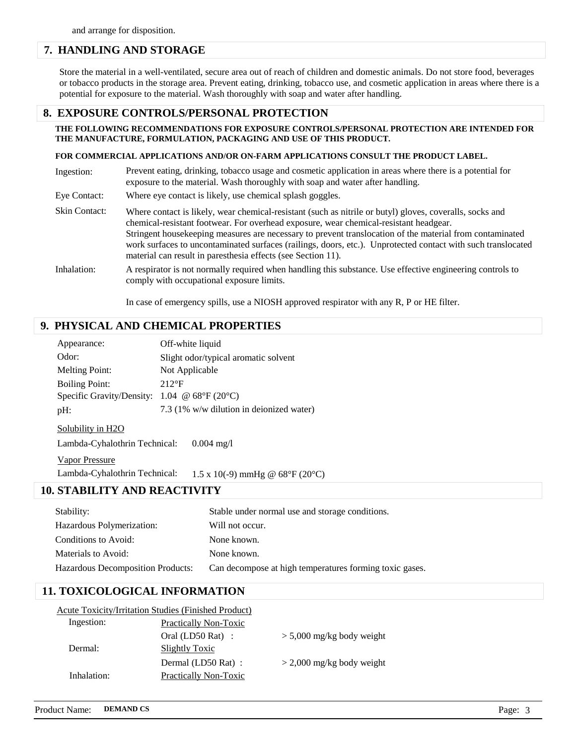# **7. HANDLING AND STORAGE**

Store the material in a well-ventilated, secure area out of reach of children and domestic animals. Do not store food, beverages or tobacco products in the storage area. Prevent eating, drinking, tobacco use, and cosmetic application in areas where there is a potential for exposure to the material. Wash thoroughly with soap and water after handling.

# **8. EXPOSURE CONTROLS/PERSONAL PROTECTION**

### **THE FOLLOWING RECOMMENDATIONS FOR EXPOSURE CONTROLS/PERSONAL PROTECTION ARE INTENDED FOR THE MANUFACTURE, FORMULATION, PACKAGING AND USE OF THIS PRODUCT.**

#### **FOR COMMERCIAL APPLICATIONS AND/OR ON-FARM APPLICATIONS CONSULT THE PRODUCT LABEL.**

| Ingestion:           | Prevent eating, drinking, tobacco usage and cosmetic application in areas where there is a potential for<br>exposure to the material. Wash thoroughly with soap and water after handling.                                                                                                                                                                                                                                                                                                     |
|----------------------|-----------------------------------------------------------------------------------------------------------------------------------------------------------------------------------------------------------------------------------------------------------------------------------------------------------------------------------------------------------------------------------------------------------------------------------------------------------------------------------------------|
| Eye Contact:         | Where eye contact is likely, use chemical splash goggles.                                                                                                                                                                                                                                                                                                                                                                                                                                     |
| <b>Skin Contact:</b> | Where contact is likely, wear chemical-resistant (such as nitrile or butyl) gloves, coveralls, socks and<br>chemical-resistant footwear. For overhead exposure, wear chemical-resistant headgear.<br>Stringent housekeeping measures are necessary to prevent translocation of the material from contaminated<br>work surfaces to uncontaminated surfaces (railings, doors, etc.). Unprotected contact with such translocated<br>material can result in paresthesia effects (see Section 11). |
| Inhalation:          | A respirator is not normally required when handling this substance. Use effective engineering controls to<br>comply with occupational exposure limits.                                                                                                                                                                                                                                                                                                                                        |

In case of emergency spills, use a NIOSH approved respirator with any R, P or HE filter.

# **9. PHYSICAL AND CHEMICAL PROPERTIES**

| Appearance:                                          | Off-white liquid                         |
|------------------------------------------------------|------------------------------------------|
| Odor:                                                | Slight odor/typical aromatic solvent     |
| <b>Melting Point:</b>                                | Not Applicable                           |
| <b>Boiling Point:</b>                                | $212$ °F                                 |
| Specific Gravity/Density: $1.04 \oplus 68$ °F (20°C) |                                          |
| $pH$ :                                               | 7.3 (1% w/w dilution in deionized water) |

#### Solubility in H2O

Lambda-Cyhalothrin Technical: 0.004 mg/l

Vapor Pressure

Lambda-Cyhalothrin Technical: 1.5 x 10(-9) mmHg @ 68°F (20°C)

# **10. STABILITY AND REACTIVITY**

| Stability:                               | Stable under normal use and storage conditions.         |
|------------------------------------------|---------------------------------------------------------|
| Hazardous Polymerization:                | Will not occur.                                         |
| Conditions to Avoid:                     | None known.                                             |
| Materials to Avoid:                      | None known.                                             |
| <b>Hazardous Decomposition Products:</b> | Can decompose at high temperatures forming toxic gases. |

# **11. TOXICOLOGICAL INFORMATION**

| <b>Acute Toxicity/Irritation Studies (Finished Product)</b> |                             |                             |
|-------------------------------------------------------------|-----------------------------|-----------------------------|
| Ingestion:                                                  | Practically Non-Toxic       |                             |
|                                                             | Oral $(LD50 \text{ Rat})$ : | $> 5,000$ mg/kg body weight |
| Dermal:                                                     | Slightly Toxic              |                             |
|                                                             | Dermal (LD50 Rat):          | $>$ 2,000 mg/kg body weight |
| Inhalation:                                                 | Practically Non-Toxic       |                             |
|                                                             |                             |                             |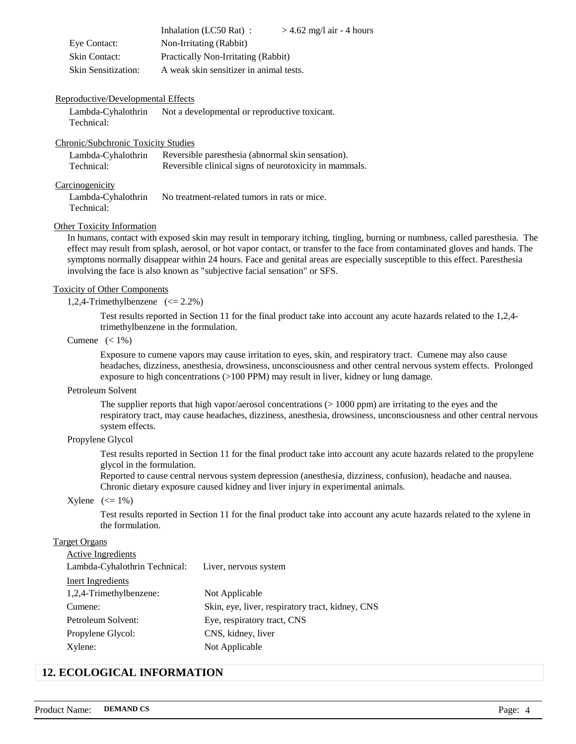|                            | Inhalation (LC50 Rat):                  | $>$ 4.62 mg/l air - 4 hours |
|----------------------------|-----------------------------------------|-----------------------------|
| Eye Contact:               | Non-Irritating (Rabbit)                 |                             |
| <b>Skin Contact:</b>       | Practically Non-Irritating (Rabbit)     |                             |
| <b>Skin Sensitization:</b> | A weak skin sensitizer in animal tests. |                             |

#### Reproductive/Developmental Effects

Lambda-Cyhalothrin Technical: Not a developmental or reproductive toxicant.

#### Chronic/Subchronic Toxicity Studies

| Lambda-Cyhalothrin | Reversible paresthesia (abnormal skin sensation).      |
|--------------------|--------------------------------------------------------|
| Technical:         | Reversible clinical signs of neurotoxicity in mammals. |

#### **Carcinogenicity**

Lambda-Cyhalothrin Technical: No treatment-related tumors in rats or mice.

#### Other Toxicity Information

In humans, contact with exposed skin may result in temporary itching, tingling, burning or numbness, called paresthesia. The effect may result from splash, aerosol, or hot vapor contact, or transfer to the face from contaminated gloves and hands. The symptoms normally disappear within 24 hours. Face and genital areas are especially susceptible to this effect. Paresthesia involving the face is also known as "subjective facial sensation" or SFS.

#### Toxicity of Other Components

1,2,4-Trimethylbenzene (<= 2.2%)

Test results reported in Section 11 for the final product take into account any acute hazards related to the 1,2,4 trimethylbenzene in the formulation.

#### Cumene  $(< 1\%)$

Exposure to cumene vapors may cause irritation to eyes, skin, and respiratory tract. Cumene may also cause headaches, dizziness, anesthesia, drowsiness, unconsciousness and other central nervous system effects. Prolonged exposure to high concentrations (>100 PPM) may result in liver, kidney or lung damage.

#### Petroleum Solvent

The supplier reports that high vapor/aerosol concentrations  $(>1000$  ppm) are irritating to the eyes and the respiratory tract, may cause headaches, dizziness, anesthesia, drowsiness, unconsciousness and other central nervous system effects.

## Propylene Glycol

Test results reported in Section 11 for the final product take into account any acute hazards related to the propylene glycol in the formulation.

Reported to cause central nervous system depression (anesthesia, dizziness, confusion), headache and nausea. Chronic dietary exposure caused kidney and liver injury in experimental animals.

#### $X$ ylene  $\left(\leq 1\%\right)$

Test results reported in Section 11 for the final product take into account any acute hazards related to the xylene in the formulation.

# Target Organs

| <b>Active Ingredients</b>     |                                                  |
|-------------------------------|--------------------------------------------------|
| Lambda-Cyhalothrin Technical: | Liver, nervous system                            |
| Inert Ingredients             |                                                  |
| 1,2,4-Trimethylbenzene:       | Not Applicable                                   |
| Cumene:                       | Skin, eye, liver, respiratory tract, kidney, CNS |
| Petroleum Solvent:            | Eye, respiratory tract, CNS                      |
| Propylene Glycol:             | CNS, kidney, liver                               |
| Xylene:                       | Not Applicable                                   |

# **12. ECOLOGICAL INFORMATION**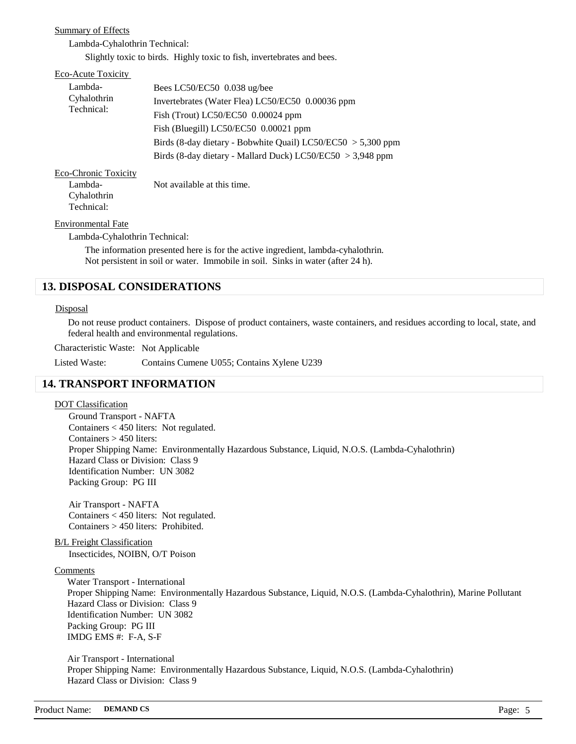### Summary of Effects

Lambda-Cyhalothrin Technical:

Slightly toxic to birds. Highly toxic to fish, invertebrates and bees.

| Eco-Acute Toxicity          |                                                                |
|-----------------------------|----------------------------------------------------------------|
| Lambda-                     | Bees LC50/EC50 $0.038$ ug/bee                                  |
| Cyhalothrin                 | Invertebrates (Water Flea) LC50/EC50 0.00036 ppm               |
| Technical:                  | Fish (Trout) LC50/EC50 $0.00024$ ppm                           |
|                             | Fish (Bluegill) LC50/EC50 0.00021 ppm                          |
|                             | Birds (8-day dietary - Bobwhite Quail) LC50/EC50 $> 5,300$ ppm |
|                             | Birds (8-day dietary - Mallard Duck) LC50/EC50 $>$ 3,948 ppm   |
| <b>Eco-Chronic Toxicity</b> |                                                                |
| Lambda-                     | Not available at this time.                                    |
| Cyhalothrin                 |                                                                |
| Technical:                  |                                                                |

#### Environmental Fate

Lambda-Cyhalothrin Technical:

The information presented here is for the active ingredient, lambda-cyhalothrin. Not persistent in soil or water. Immobile in soil. Sinks in water (after 24 h).

# **13. DISPOSAL CONSIDERATIONS**

#### **Disposal**

Do not reuse product containers. Dispose of product containers, waste containers, and residues according to local, state, and federal health and environmental regulations.

Characteristic Waste: Not Applicable

Listed Waste: Contains Cumene U055; Contains Xylene U239

# **14. TRANSPORT INFORMATION**

#### DOT Classification

Ground Transport - NAFTA Containers < 450 liters: Not regulated. Containers > 450 liters: Proper Shipping Name: Environmentally Hazardous Substance, Liquid, N.O.S. (Lambda-Cyhalothrin) Hazard Class or Division: Class 9 Identification Number: UN 3082 Packing Group: PG III

Air Transport - NAFTA Containers < 450 liters: Not regulated. Containers > 450 liters: Prohibited.

B/L Freight Classification Insecticides, NOIBN, O/T Poison

#### Comments

Water Transport - International Proper Shipping Name: Environmentally Hazardous Substance, Liquid, N.O.S. (Lambda-Cyhalothrin), Marine Pollutant Hazard Class or Division: Class 9 Identification Number: UN 3082 Packing Group: PG III IMDG EMS #: F-A, S-F

Air Transport - International Proper Shipping Name: Environmentally Hazardous Substance, Liquid, N.O.S. (Lambda-Cyhalothrin) Hazard Class or Division: Class 9